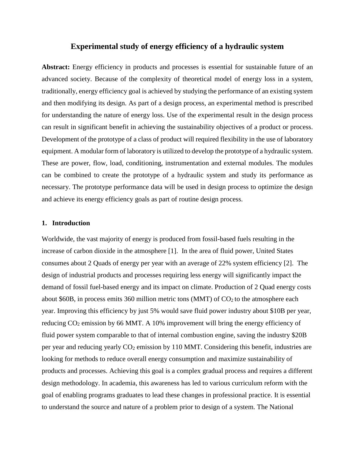# **Experimental study of energy efficiency of a hydraulic system**

**Abstract:** Energy efficiency in products and processes is essential for sustainable future of an advanced society. Because of the complexity of theoretical model of energy loss in a system, traditionally, energy efficiency goal is achieved by studying the performance of an existing system and then modifying its design. As part of a design process, an experimental method is prescribed for understanding the nature of energy loss. Use of the experimental result in the design process can result in significant benefit in achieving the sustainability objectives of a product or process. Development of the prototype of a class of product will required flexibility in the use of laboratory equipment. A modular form of laboratory is utilized to develop the prototype of a hydraulic system. These are power, flow, load, conditioning, instrumentation and external modules. The modules can be combined to create the prototype of a hydraulic system and study its performance as necessary. The prototype performance data will be used in design process to optimize the design and achieve its energy efficiency goals as part of routine design process.

# **1. Introduction**

Worldwide, the vast majority of energy is produced from fossil-based fuels resulting in the increase of carbon dioxide in the atmosphere [1]. In the area of fluid power, United States consumes about 2 Quads of energy per year with an average of 22% system efficiency [2]. The design of industrial products and processes requiring less energy will significantly impact the demand of fossil fuel-based energy and its impact on climate. Production of 2 Quad energy costs about \$60B, in process emits 360 million metric tons (MMT) of  $CO<sub>2</sub>$  to the atmosphere each year. Improving this efficiency by just 5% would save fluid power industry about \$10B per year, reducing CO<sub>2</sub> emission by 66 MMT. A 10% improvement will bring the energy efficiency of fluid power system comparable to that of internal combustion engine, saving the industry \$20B per year and reducing yearly CO<sub>2</sub> emission by 110 MMT. Considering this benefit, industries are looking for methods to reduce overall energy consumption and maximize sustainability of products and processes. Achieving this goal is a complex gradual process and requires a different design methodology. In academia, this awareness has led to various curriculum reform with the goal of enabling programs graduates to lead these changes in professional practice. It is essential to understand the source and nature of a problem prior to design of a system. The National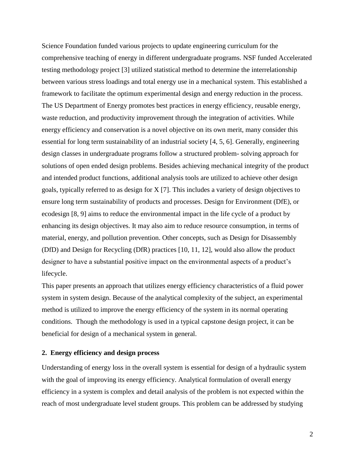Science Foundation funded various projects to update engineering curriculum for the comprehensive teaching of energy in different undergraduate programs. NSF funded Accelerated testing methodology project [3] utilized statistical method to determine the interrelationship between various stress loadings and total energy use in a mechanical system. This established a framework to facilitate the optimum experimental design and energy reduction in the process. The US Department of Energy promotes best practices in energy efficiency, reusable energy, waste reduction, and productivity improvement through the integration of activities. While energy efficiency and conservation is a novel objective on its own merit, many consider this essential for long term sustainability of an industrial society [4, 5, 6]. Generally, engineering design classes in undergraduate programs follow a structured problem- solving approach for solutions of open ended design problems. Besides achieving mechanical integrity of the product and intended product functions, additional analysis tools are utilized to achieve other design goals, typically referred to as design for X [7]. This includes a variety of design objectives to ensure long term sustainability of products and processes. Design for Environment (DfE), or ecodesign [8, 9] aims to reduce the environmental impact in the life cycle of a product by enhancing its design objectives. It may also aim to reduce resource consumption, in terms of material, energy, and pollution prevention. Other concepts, such as Design for Disassembly (DfD) and Design for Recycling (DfR) practices [10, 11, 12], would also allow the product designer to have a substantial positive impact on the environmental aspects of a product's lifecycle.

This paper presents an approach that utilizes energy efficiency characteristics of a fluid power system in system design. Because of the analytical complexity of the subject, an experimental method is utilized to improve the energy efficiency of the system in its normal operating conditions. Though the methodology is used in a typical capstone design project, it can be beneficial for design of a mechanical system in general.

## **2. Energy efficiency and design process**

Understanding of energy loss in the overall system is essential for design of a hydraulic system with the goal of improving its energy efficiency. Analytical formulation of overall energy efficiency in a system is complex and detail analysis of the problem is not expected within the reach of most undergraduate level student groups. This problem can be addressed by studying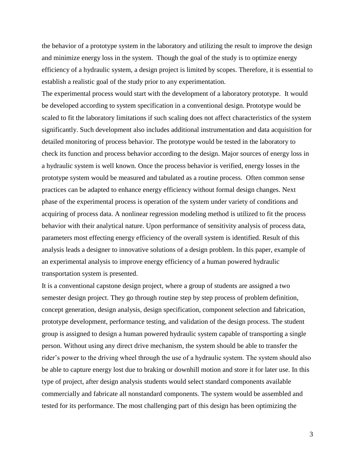the behavior of a prototype system in the laboratory and utilizing the result to improve the design and minimize energy loss in the system. Though the goal of the study is to optimize energy efficiency of a hydraulic system, a design project is limited by scopes. Therefore, it is essential to establish a realistic goal of the study prior to any experimentation.

The experimental process would start with the development of a laboratory prototype. It would be developed according to system specification in a conventional design. Prototype would be scaled to fit the laboratory limitations if such scaling does not affect characteristics of the system significantly. Such development also includes additional instrumentation and data acquisition for detailed monitoring of process behavior. The prototype would be tested in the laboratory to check its function and process behavior according to the design. Major sources of energy loss in a hydraulic system is well known. Once the process behavior is verified, energy losses in the prototype system would be measured and tabulated as a routine process. Often common sense practices can be adapted to enhance energy efficiency without formal design changes. Next phase of the experimental process is operation of the system under variety of conditions and acquiring of process data. A nonlinear regression modeling method is utilized to fit the process behavior with their analytical nature. Upon performance of sensitivity analysis of process data, parameters most effecting energy efficiency of the overall system is identified. Result of this analysis leads a designer to innovative solutions of a design problem. In this paper, example of an experimental analysis to improve energy efficiency of a human powered hydraulic transportation system is presented.

It is a conventional capstone design project, where a group of students are assigned a two semester design project. They go through routine step by step process of problem definition, concept generation, design analysis, design specification, component selection and fabrication, prototype development, performance testing, and validation of the design process. The student group is assigned to design a human powered hydraulic system capable of transporting a single person. Without using any direct drive mechanism, the system should be able to transfer the rider's power to the driving wheel through the use of a hydraulic system. The system should also be able to capture energy lost due to braking or downhill motion and store it for later use. In this type of project, after design analysis students would select standard components available commercially and fabricate all nonstandard components. The system would be assembled and tested for its performance. The most challenging part of this design has been optimizing the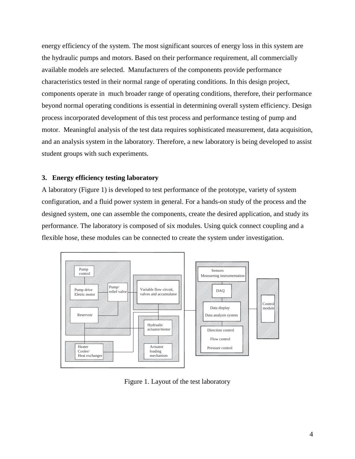energy efficiency of the system. The most significant sources of energy loss in this system are the hydraulic pumps and motors. Based on their performance requirement, all commercially available models are selected. Manufacturers of the components provide performance characteristics tested in their normal range of operating conditions. In this design project, components operate in much broader range of operating conditions, therefore, their performance beyond normal operating conditions is essential in determining overall system efficiency. Design process incorporated development of this test process and performance testing of pump and motor. Meaningful analysis of the test data requires sophisticated measurement, data acquisition, and an analysis system in the laboratory. Therefore, a new laboratory is being developed to assist student groups with such experiments.

#### **3. Energy efficiency testing laboratory**

A laboratory (Figure 1) is developed to test performance of the prototype, variety of system configuration, and a fluid power system in general. For a hands-on study of the process and the designed system, one can assemble the components, create the desired application, and study its performance. The laboratory is composed of six modules. Using quick connect coupling and a flexible hose, these modules can be connected to create the system under investigation.



Figure 1. Layout of the test laboratory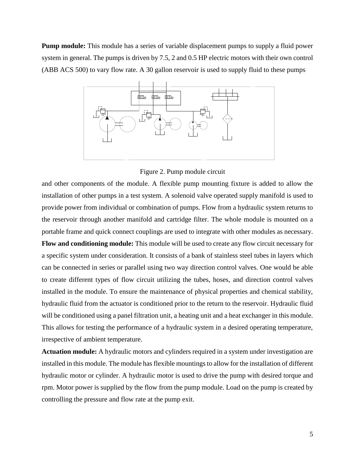**Pump module:** This module has a series of variable displacement pumps to supply a fluid power system in general. The pumps is driven by 7.5, 2 and 0.5 HP electric motors with their own control (ABB ACS 500) to vary flow rate. A 30 gallon reservoir is used to supply fluid to these pumps



Figure 2. Pump module circuit

and other components of the module. A flexible pump mounting fixture is added to allow the installation of other pumps in a test system. A solenoid valve operated supply manifold is used to provide power from individual or combination of pumps. Flow from a hydraulic system returns to the reservoir through another manifold and cartridge filter. The whole module is mounted on a portable frame and quick connect couplings are used to integrate with other modules as necessary.

**Flow and conditioning module:** This module will be used to create any flow circuit necessary for a specific system under consideration. It consists of a bank of stainless steel tubes in layers which can be connected in series or parallel using two way direction control valves. One would be able to create different types of flow circuit utilizing the tubes, hoses, and direction control valves installed in the module. To ensure the maintenance of physical properties and chemical stability, hydraulic fluid from the actuator is conditioned prior to the return to the reservoir. Hydraulic fluid will be conditioned using a panel filtration unit, a heating unit and a heat exchanger in this module. This allows for testing the performance of a hydraulic system in a desired operating temperature, irrespective of ambient temperature.

**Actuation module:** A hydraulic motors and cylinders required in a system under investigation are installed in this module. The module has flexible mountings to allow for the installation of different hydraulic motor or cylinder. A hydraulic motor is used to drive the pump with desired torque and rpm. Motor power is supplied by the flow from the pump module. Load on the pump is created by controlling the pressure and flow rate at the pump exit.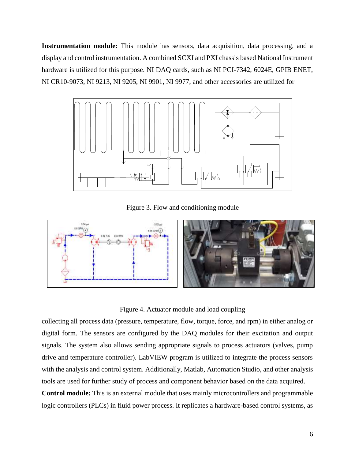**Instrumentation module:** This module has sensors, data acquisition, data processing, and a display and control instrumentation. A combined SCXI and PXI chassis based National Instrument hardware is utilized for this purpose. NI DAQ cards, such as NI PCI-7342, 6024E, GPIB ENET, NI CR10-9073, NI 9213, NI 9205, NI 9901, NI 9977, and other accessories are utilized for



Figure 3. Flow and conditioning module



Figure 4. Actuator module and load coupling

collecting all process data (pressure, temperature, flow, torque, force, and rpm) in either analog or digital form. The sensors are configured by the DAQ modules for their excitation and output signals. The system also allows sending appropriate signals to process actuators (valves, pump drive and temperature controller). LabVIEW program is utilized to integrate the process sensors with the analysis and control system. Additionally, Matlab, Automation Studio, and other analysis tools are used for further study of process and component behavior based on the data acquired.

**Control module:** This is an external module that uses mainly microcontrollers and programmable logic controllers (PLCs) in fluid power process. It replicates a hardware-based control systems, as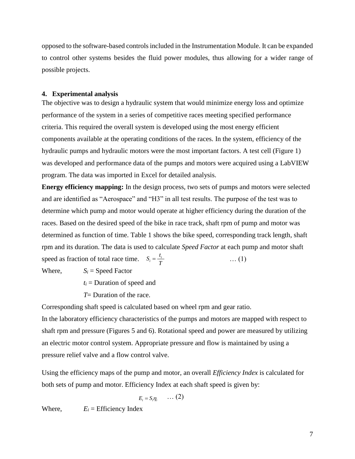opposed to the software-based controls included in the Instrumentation Module. It can be expanded to control other systems besides the fluid power modules, thus allowing for a wider range of possible projects.

#### **4. Experimental analysis**

The objective was to design a hydraulic system that would minimize energy loss and optimize performance of the system in a series of competitive races meeting specified performance criteria. This required the overall system is developed using the most energy efficient components available at the operating conditions of the races. In the system, efficiency of the hydraulic pumps and hydraulic motors were the most important factors. A test cell (Figure 1) was developed and performance data of the pumps and motors were acquired using a LabVIEW program. The data was imported in Excel for detailed analysis.

**Energy efficiency mapping:** In the design process, two sets of pumps and motors were selected and are identified as "Aerospace" and "H3" in all test results. The purpose of the test was to determine which pump and motor would operate at higher efficiency during the duration of the races. Based on the desired speed of the bike in race track, shaft rpm of pump and motor was determined as function of time. Table 1 shows the bike speed, corresponding track length, shaft rpm and its duration. The data is used to calculate *Speed Factor* at each pump and motor shaft speed as fraction of total race time.  $S_i = \frac{i}{T}$  (1)  $S_i = \frac{t_i}{T}$ 

Where,  $S_i = \text{Speed Factor}$ 

- $t_i$  = Duration of speed and
- *T*= Duration of the race.

Corresponding shaft speed is calculated based on wheel rpm and gear ratio.

In the laboratory efficiency characteristics of the pumps and motors are mapped with respect to shaft rpm and pressure (Figures 5 and 6). Rotational speed and power are measured by utilizing an electric motor control system. Appropriate pressure and flow is maintained by using a pressure relief valve and a flow control valve.

Using the efficiency maps of the pump and motor, an overall *Efficiency Index* is calculated for both sets of pump and motor. Efficiency Index at each shaft speed is given by:

$$
E_i = S_i \eta_i \qquad \ldots (2)
$$

Where,  $E_i =$  Efficiency Index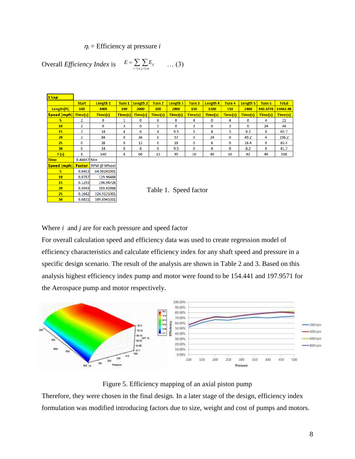$\eta_i$  = Efficiency at pressure *i* 

Overall *Efficiency Index* is 
$$
E = \sum_{i=1, n} \sum_{j=1, m} E_{ij}
$$
 ... (3)

| 1 Lap       |                |             |         |          |               |          |              |          |         |          |          |              |
|-------------|----------------|-------------|---------|----------|---------------|----------|--------------|----------|---------|----------|----------|--------------|
|             | <b>Start</b>   | Length 1    | Turn 1  | Length 2 | Turn 2        | Length 3 | Turn 3       | Length 4 | Turn 4  | Length 5 | Turn 5   | <b>Total</b> |
| Length(ft)  | 100            | 4400        | 100     | 2000     | 200           | 2800     | <b>150</b>   | 1200     | 150     | 2400     | 942.4778 | 14442.48     |
| Speed (mph) | Time(s)        | Time(s)     | Time(s) | Time(s)  | Time(s)       | Time(s)  | Time(s)      | Time(s)  | Time(s) | Time(s)  | Time(s)  | Time(s)      |
| 5.          | $\overline{2}$ | 0           | 1       | 0        | 6             | 0        | 4            | $\bf{0}$ | 4       | 0        | 4        | 21           |
| 10          | $\overline{2}$ | 0           | 3       | 0        | 5             | 0        | 3            | 0        | 3       | 0        | 24       | 40           |
| 15          | $\overline{2}$ | 14          | 4       | 6        | 4             | 9.5      | 3            | 4        | 3       | 8.2      | 8        | 65.7         |
| 20          | $\overline{2}$ | 84          | 0       | 36       | 0             | 57       | 0            | 24       | 0       | 49.2     | 4        | 256.2        |
| 25          | 0              | 28          | 0       | 12       | 0             | 19       | 0            | 8        | 0       | 16.4     | 0        | 83.4         |
| 30          | 0              | 14          | 0       | 6        | 0             | 9.5      | 0            | 4        | 0       | 8.2      | 0        | 41.7         |
| T(s)        | 8              | 140         | 8       | 60       | 15            | 95       | 10           | 40       | 10      | 82       | 40       | 508          |
| <b>Time</b> | 8.46667 Min    |             |         |          |               |          |              |          |         |          |          |              |
| Speed (mph) | <b>Factor</b>  | RPM @ Wheel |         |          |               |          |              |          |         |          |          |              |
| 5.          | 0.0413         | 64.98242001 |         |          |               |          |              |          |         |          |          |              |
| 10          | 0.0787         | 129.96484   |         |          |               |          |              |          |         |          |          |              |
| 15          | 0.1293         | 194.94726   |         |          |               |          |              |          |         |          |          |              |
| 20          | 0.5043         | 259.92968   |         |          | $T_0 h l_0 1$ |          | Spood footor |          |         |          |          |              |

Table 1. Speed factor

Where *i* and *j* are for each pressure and speed factor

324.9121001

389.8945201

0.1642

 $0.0821$ 

25

 $30$ 

For overall calculation speed and efficiency data was used to create regression model of efficiency characteristics and calculate efficiency index for any shaft speed and pressure in a specific design scenario. The result of the analysis are shown in Table 2 and 3. Based on this analysis highest efficiency index pump and motor were found to be 154.441 and 197.9571 for the Aerospace pump and motor respectively.



Figure 5. Efficiency mapping of an axial piston pump

Therefore, they were chosen in the final design. In a later stage of the design, efficiency index formulation was modified introducing factors due to size, weight and cost of pumps and motors.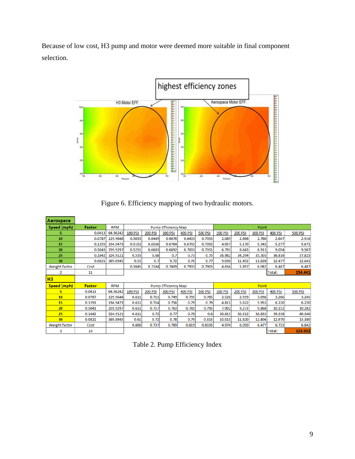Because of low cost, H3 pump and motor were deemed more suitable in final component selection.



Figure 6. Efficiency mapping of two hydraulic motors.

| Aerospace      |               |            |                |                |                            |                |                |                |                |                |                |                |
|----------------|---------------|------------|----------------|----------------|----------------------------|----------------|----------------|----------------|----------------|----------------|----------------|----------------|
| Speed (mph)    | Factor        | <b>RPM</b> |                |                | <b>Pump Efficiency Map</b> |                |                |                |                | Point          |                |                |
| 5              | 0.0413        | 64.98242   | <b>100 PSI</b> | <b>200 PSI</b> | <b>300 PSI</b>             | <b>400 PSI</b> | <b>500 PSI</b> | <b>100 PSI</b> | 200 PSI        | <b>300 PSI</b> | <b>400 PSI</b> | <b>500 PSI</b> |
| 10             | 0.0787        | 129.9648   | 0.5053         | 0.6449         | 0.6676                     | 0.6403         | 0.7053         | 2.089          | 2.666          | 2.760          | 2.647          | 2.916          |
| 15             | 0.1293        | 194.9473   | 0.5152         | 0.6566         | 0.6784                     | 0.6702         | 0.7202         | 4.057          | 5.170          | 5.342          | 5.277          | 5.671          |
| 20             | 0.5043        | 259.9297   | 0.5251         | 0.6683         | 0.6892                     | 0.7001         | 0.7351         | 6.791          | 8.643          | 8.913          | 9.054          | 9.507          |
| 25             | 0.1642        | 324.9121   | 0.535          | 0.68           | 0.7                        | 0.73           | 0.75           | 26.982         | 34.294         | 35.303         | 36.816         | 37.825         |
| 30             | 0.0821        | 389.8945   | 0.55           | 0.7            | 0.72                       | 0.76           | 0.77           | 9.030          | 11.492         | 11.820         | 12.477         | 12.641         |
| Weight factor  | Cost          |            | 0.5645         | 0.7184         | 0.7409                     | 0.7903         | 0.7903         | 4.634          | 5.897          | 6.082          | 6.487          | 6.487          |
| 2              | 11            |            |                |                |                            |                |                |                |                |                | Total:         | 154.441        |
|                |               |            |                |                |                            |                |                |                |                |                |                |                |
| H <sub>3</sub> |               |            |                |                |                            |                |                |                |                |                |                |                |
| Speed (mph)    | <b>Factor</b> | <b>RPM</b> |                |                | <b>Pump Efficiency Map</b> |                |                |                |                | Point          |                |                |
| 5              | 0.0413        | 64.98242   | <b>100 PSI</b> | <b>200 PSI</b> | <b>300 PSI</b>             | <b>400 PSI</b> | <b>500 PSI</b> | <b>100 PSI</b> | <b>200 PSI</b> | <b>300 PSI</b> | <b>400 PSI</b> | <b>500 PSI</b> |
| 10             | 0.0787        | 129.9648   | 0.611          | 0.711          | 0.749                      | 0.795          | 0.785          | 2.526          | 2.939          | 3.096          | 3.286          | 3.245          |
| 15             | 0.1293        | 194.9473   | 0.611          | 0.714          | 0.756                      | 0.79           | 0.79           | 4.811          | 5.622          | 5.953          | 6.220          | 6.220          |
| 20             | 0.5043        | 259.9297   | 0.611          | 0.717          | 0.763                      | 0.785          | 0.795          | 7.902          | 9.273          | 9.868          | 10.152         | 10.282         |
| 25             | 0.1642        | 324.9121   | 0.611          | 0.72           | 0.77                       | 0.78           | 0.8            | 30.815         | 36.312         | 38.833         | 39.338         | 40.346         |
| 30             | 0.0821        | 389.8945   | 0.61           | 0.72           | 0.78                       | 0.79           | 0.815          | 10.015         | 11.820         | 12.806         | 12.970         | 13.380         |
| Weight factor  | Cost          |            | 0.606          | 0.737          | 0.789                      | 0.819          | 0.8335         | 4.974          | 6.050          | 6.477          | 6.723          | 6.842          |

| Table 2. Pump Efficiency Index |  |  |
|--------------------------------|--|--|
|--------------------------------|--|--|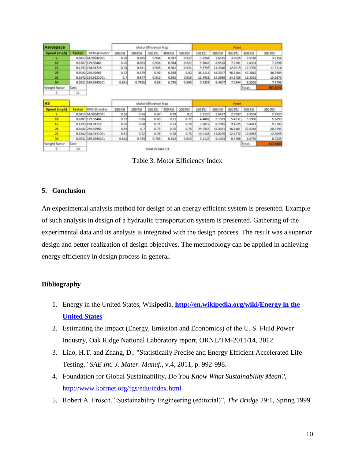| <b>Aerospace</b> |               |                    |         |         | Motor Efficiency Map |                |                |         |         | Point   |         |                                                              |
|------------------|---------------|--------------------|---------|---------|----------------------|----------------|----------------|---------|---------|---------|---------|--------------------------------------------------------------|
| Speed (mph)      | Factor        | RPM @ motor        | 100 PSI | 200 PSI | 300 PSI              | <b>400 PSI</b> | <b>500 PSI</b> | 100 PSI | 200 PSI | 300 PSI | 400 PSI | 500 PSI                                                      |
| s                |               | 0.0413 64.98242001 | 0.78    | 0.885   | 0.944                | 0.947          | 0.923          | 3.2244  | 3,6585  | 3.9024  | 3.9148  | 3.8156                                                       |
| 10               |               | 0.0787 129.96484   | 0,76    | 0.883   | 0.936                | 0.944          | 0.922          | 5.9843  | 6.9528  | 7,3701  | 7.4331  | 7.2598                                                       |
| 15               |               | 0.1293 194.94726   | 0.74    | 0.881   | 0.928                | 0.941          | 0.921          | 9.5705  | 11,3940 | 12.0019 | 12.1700 | 11.9114                                                      |
| 20               |               | 0.5043 259.92968   | 0.72    | 0.879   | 0.92                 | 0.938          | 0.92           | 36.3118 | 44.3307 | 46,3984 | 47.3062 | 46,3984                                                      |
| 25               |               | 0.1642 324.9121001 | 0.7     | 0.877   | 0.912                | 0.935          | 0.919          | 11.4921 | 14,3980 | 14.9726 | 15.3502 | 15.0875                                                      |
| 30               |               | 0.0821 389.8945201 | 0.661   | 0.7895  | 0.86                 | 0.798          | 0.899          | 5:4259  | 6.4807  | 7.0594  | 6.5505  | 7.3796                                                       |
|                  | Cost          |                    |         |         |                      |                |                |         |         |         | Total:  | 197.9571                                                     |
| Weight factor    |               |                    |         |         |                      |                |                |         |         |         |         |                                                              |
| 2                | 11            |                    |         |         |                      |                |                |         |         |         |         |                                                              |
| H <sub>3</sub>   |               |                    |         |         | Motor Efficiency Map |                |                |         |         | Point   |         |                                                              |
| Speed (mph)      | <b>Factor</b> | RPM @ motor        | 100 PSI | 200 PSI | 300 PSI              | 400 PSI        | 500 PSI        | 100 PSI | 200 PSI | 300 PSI | 400 PSI | 500 PSI                                                      |
| 5                |               | 0.0413 04.98242001 | 0.56    | 0.64    | 0.67                 | 0.69           | 0.7            | 2,3150  | 2,6457  | 2.7697  | 2.8524  |                                                              |
| 10               |               | 0.0787 129.96484   | 0.57    | 0.55    | 0.69                 | 0.71           | 0.72           | 4.4882  | 5.1969  | 5.4331  | 5.5906  | 5,6693                                                       |
| 15               |               | 0.1293 194.94726   | 0.58    | 0.68    | 0.71                 | 0.73           | 0.74           | 7.5012  | 8.7945  | 9.1825  | 9.4411  |                                                              |
| 20               |               | 0.5043 259.92968   | 0.59    | 0.7     | 0.73                 | 0.75           | 0.76           | 29.7555 | 35,3031 | 36.8161 | 37.8248 |                                                              |
| 25               |               | 0.1642 324.9121001 | 0.61    | 0.72    | 0.76                 | 0.78           | 0.78           | 10.0146 | 11.8205 | 12,4772 | 12.8055 |                                                              |
| 30               |               | 0.0821 389.8945201 | 0.635   | 0.749   | 0.789                | 0.813          | 0.819          | 5.2125  | 6,1483  | 6.4766  | 6.6736  |                                                              |
| Weight factor    | Cost-         |                    |         |         |                      |                |                |         |         |         | Total:  | 2.8937<br>9.5705<br>38.3291<br>12.8055<br>6,7229<br>117,8433 |

Table 3. Motor Efficiency Index

# **5. Conclusion**

An experimental analysis method for design of an energy efficient system is presented. Example of such analysis in design of a hydraulic transportation system is presented. Gathering of the experimental data and its analysis is integrated with the design process. The result was a superior design and better realization of design objectives. The methodology can be applied in achieving energy efficiency in design process in general.

# **Bibliography**

- 1. Energy in the United States, Wikipedia, **[http://en.wikipedia.org/wiki/Energy in the](http://en.wikipedia.org/wiki/Energy%20in%20the%20United%20States)  [United States](http://en.wikipedia.org/wiki/Energy%20in%20the%20United%20States)**
- 2. Estimating the Impact (Energy, Emission and Economics) of the U. S. Fluid Power Industry, Oak Ridge National Laboratory report, ORNL/TM-2011/14, 2012.
- 3. Liao, H.T. and Zhang, D.. "Statistically Precise and Energy Efficient Accelerated Life Testing," *SAE Int. J. Mater. Manuf.*, v.4, 2011, p. 992-998.
- 4. Foundation for Global Sustainability, *Do You Know What Sustainability Mean?*, http://www.korrnet.org/fgs/edu/index.html
- 5. Robert A. Frosch, "Sustainability Engineering (editorial)", *The Bridge* 29:1, Spring 1999